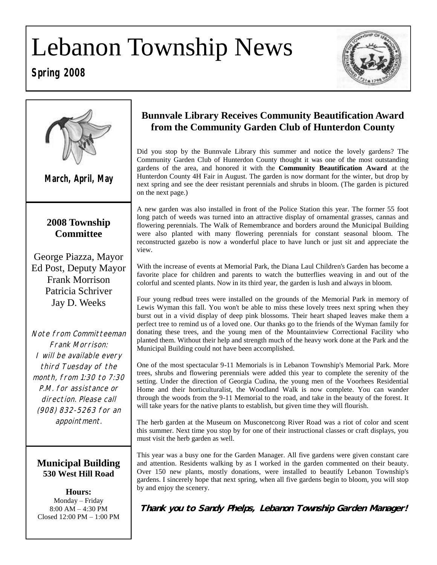# Lebanon Township News

### **Spring 2008**





### **Bunnvale Library Receives Community Beautification Award from the Community Garden Club of Hunterdon County**

Did you stop by the Bunnvale Library this summer and notice the lovely gardens? The Community Garden Club of Hunterdon County thought it was one of the most outstanding gardens of the area, and honored it with the **Community Beautification Award** at the Hunterdon County 4H Fair in August. The garden is now dormant for the winter, but drop by next spring and see the deer resistant perennials and shrubs in bloom. (The garden is pictured on the next page.)

A new garden was also installed in front of the Police Station this year. The former 55 foot long patch of weeds was turned into an attractive display of ornamental grasses, cannas and flowering perennials. The Walk of Remembrance and borders around the Municipal Building were also planted with many flowering perennials for constant seasonal bloom. The reconstructed gazebo is now a wonderful place to have lunch or just sit and appreciate the view.

With the increase of events at Memorial Park, the Diana Laul Children's Garden has become a favorite place for children and parents to watch the butterflies weaving in and out of the colorful and scented plants. Now in its third year, the garden is lush and always in bloom.

Four young redbud trees were installed on the grounds of the Memorial Park in memory of Lewis Wyman this fall. You won't be able to miss these lovely trees next spring when they burst out in a vivid display of deep pink blossoms. Their heart shaped leaves make them a perfect tree to remind us of a loved one. Our thanks go to the friends of the Wyman family for donating these trees, and the young men of the Mountainview Correctional Facility who planted them. Without their help and strength much of the heavy work done at the Park and the Municipal Building could not have been accomplished.

One of the most spectacular 9-11 Memorials is in Lebanon Township's Memorial Park. More trees, shrubs and flowering perennials were added this year to complete the serenity of the setting. Under the direction of Georgia Cudina, the young men of the Voorhees Residential Home and their horticulturalist, the Woodland Walk is now complete. You can wander through the woods from the 9-11 Memorial to the road, and take in the beauty of the forest. It will take years for the native plants to establish, but given time they will flourish.

The herb garden at the Museum on Musconetcong River Road was a riot of color and scent this summer. Next time you stop by for one of their instructional classes or craft displays, you must visit the herb garden as well.

This year was a busy one for the Garden Manager. All five gardens were given constant care and attention. Residents walking by as I worked in the garden commented on their beauty. Over 150 new plants, mostly donations, were installed to beautify Lebanon Township's gardens. I sincerely hope that next spring, when all five gardens begin to bloom, you will stop by and enjoy the scenery.

**Thank you to Sandy Phelps, Lebanon Township Garden Manager!**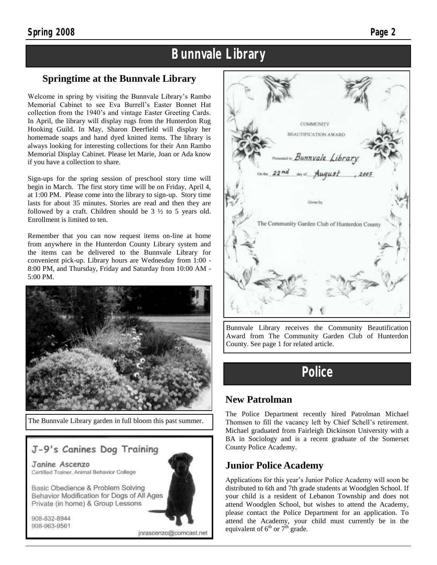### **Bunnvale Library**

### **Springtime at the Bunnvale Library**

Welcome in spring by visiting the Bunnvale Library's Rambo Memorial Cabinet to see Eva Burrell's Easter Bonnet Hat collection from the 1940's and vintage Easter Greeting Cards. In April, the library will display rugs from the Hunterdon Rug Hooking Guild. In May, Sharon Deerfield will display her homemade soaps and hand dyed knitted items. The library is always looking for interesting collections for their Ann Rambo Memorial Display Cabinet. Please let Marie, Joan or Ada know if you have a collection to share.

Sign-ups for the spring session of preschool story time will begin in March. The first story time will be on Friday, April 4, at 1:00 PM. Please come into the library to sign-up. Story time lasts for about 35 minutes. Stories are read and then they are followed by a craft. Children should be 3 ½ to 5 years old. Enrollment is limited to ten.

Remember that you can now request items on-line at home from anywhere in the Hunterdon County Library system and the items can be delivered to the Bunnvale Library for convenient pick-up. Library hours are Wednesday from 1:00 - 8:00 PM, and Thursday, Friday and Saturday from 10:00 AM - 5:00 PM.



The Bunnvale Library garden in full bloom this past summer.

### J-9's Canines Dog Training

Janine Ascenzo Certified Trainer, Animal Behavior College

Basic Obedience & Problem Solving Behavior Modification for Dogs of All Ages Private (in home) & Group Lessons

908-832-8944 908-963-9561





Bunnvale Library receives the Community Beautification Award from The Community Garden Club of Hunterdon County. See page 1 for related article.

### **Police**

### **New Patrolman**

The Police Department recently hired Patrolman Michael Thomsen to fill the vacancy left by Chief Schell's retirement. Michael graduated from Fairleigh Dickinson University with a BA in Sociology and is a recent graduate of the Somerset County Police Academy.

### **Junior Police Academy**

Applications for this year's Junior Police Academy will soon be distributed to 6th and 7th grade students at Woodglen School. If your child is a resident of Lebanon Township and does not attend Woodglen School, but wishes to attend the Academy, please contact the Police Department for an application. To attend the Academy, your child must currently be in the equivalent of  $6<sup>th</sup>$  or  $7<sup>th</sup>$  grade.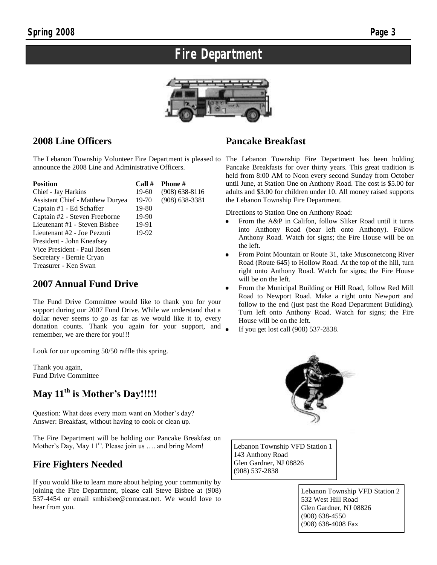## **Fire Department**



### **2008 Line Officers**

announce the 2008 Line and Administrative Officers.

| <b>Position</b>                  | Call# | <b>Phone</b> #   |  |  |  |
|----------------------------------|-------|------------------|--|--|--|
| Chief - Jay Harkins              | 19-60 | $(908)$ 638-8116 |  |  |  |
| Assistant Chief - Matthew Duryea | 19-70 | $(908)$ 638-3381 |  |  |  |
| Captain #1 - Ed Schaffer         | 19-80 |                  |  |  |  |
| Captain #2 - Steven Freeborne    | 19-90 |                  |  |  |  |
| Lieutenant #1 - Steven Bisbee    | 19-91 |                  |  |  |  |
| Lieutenant #2 - Joe Pezzuti      | 19-92 |                  |  |  |  |
| President - John Kneafsey        |       |                  |  |  |  |
| Vice President - Paul Ibsen      |       |                  |  |  |  |
| Secretary - Bernie Cryan         |       |                  |  |  |  |
| Treasurer - Ken Swan             |       |                  |  |  |  |

### **2007 Annual Fund Drive**

The Fund Drive Committee would like to thank you for your support during our 2007 Fund Drive. While we understand that a dollar never seems to go as far as we would like it to, every donation counts. Thank you again for your support, and remember, we are there for you!!!

Look for our upcoming 50/50 raffle this spring.

Thank you again, Fund Drive Committee

### **May 11th is Mother's Day!!!!!**

Question: What does every mom want on Mother's day? Answer: Breakfast, without having to cook or clean up.

The Fire Department will be holding our Pancake Breakfast on Mother's Day, May  $11<sup>th</sup>$ . Please join us .... and bring Mom!

### **Fire Fighters Needed**

If you would like to learn more about helping your community by joining the Fire Department, please call Steve Bisbee at (908) 537-4454 or email smbisbee@comcast.net. We would love to hear from you.

### **Pancake Breakfast**

The Lebanon Township Volunteer Fire Department is pleased to The Lebanon Township Fire Department has been holding Pancake Breakfasts for over thirty years. This great tradition is held from 8:00 AM to Noon every second Sunday from October until June, at Station One on Anthony Road. The cost is \$5.00 for adults and \$3.00 for children under 10. All money raised supports the Lebanon Township Fire Department.

Directions to Station One on Anthony Road:

- From the A&P in Califon, follow Sliker Road until it turns into Anthony Road (bear left onto Anthony). Follow Anthony Road. Watch for signs; the Fire House will be on the left.
- From Point Mountain or Route 31, take Musconetcong River Road (Route 645) to Hollow Road. At the top of the hill, turn right onto Anthony Road. Watch for signs; the Fire House will be on the left.
- From the Municipal Building or Hill Road, follow Red Mill Road to Newport Road. Make a right onto Newport and follow to the end (just past the Road Department Building). Turn left onto Anthony Road. Watch for signs; the Fire House will be on the left.
- If you get lost call (908) 537-2838.



Lebanon Township VFD Station 1 143 Anthony Road Glen Gardner, NJ 08826 (908) 537-2838

> Lebanon Township VFD Station 2 532 West Hill Road Glen Gardner, NJ 08826 (908) 638-4550 (908) 638-4008 Fax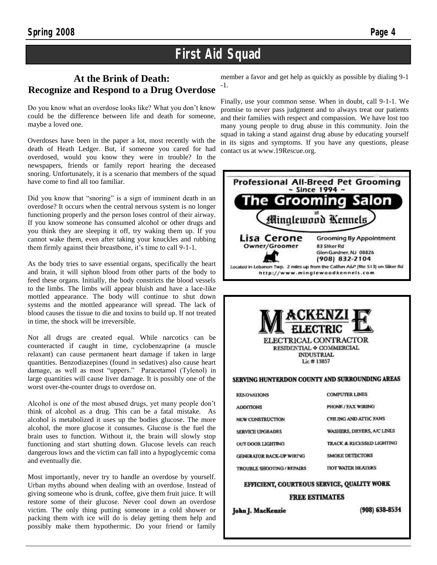### **First Aid Squad**

### **At the Brink of Death: Recognize and Respond to a Drug Overdose**

Do you know what an overdose looks like? What you don't know could be the difference between life and death for someone, maybe a loved one.

Overdoses have been in the paper a lot, most recently with the death of Heath Ledger. But, if someone you cared for had overdosed, would you know they were in trouble? In the newspapers, friends or family report hearing the deceased snoring. Unfortunately, it is a scenario that members of the squad have come to find all too familiar.

Did you know that "snoring" is a sign of imminent death in an overdose? It occurs when the central nervous system is no longer functioning properly and the person loses control of their airway. If you know someone has consumed alcohol or other drugs and you think they are sleeping it off, try waking them up. If you cannot wake them, even after taking your knuckles and rubbing them firmly against their breastbone, it's time to call 9-1-1.

As the body tries to save essential organs, specifically the heart and brain, it will siphon blood from other parts of the body to feed these organs. Initially, the body constricts the blood vessels to the limbs. The limbs will appear bluish and have a lace-like mottled appearance. The body will continue to shut down systems and the mottled appearance will spread. The lack of blood causes the tissue to die and toxins to build up. If not treated in time, the shock will be irreversible.

Not all drugs are created equal. While narcotics can be counteracted if caught in time, cyclobenzaprine (a muscle relaxant) can cause permanent heart damage if taken in large quantities. Benzodiazepines (found in sedatives) also cause heart damage, as well as most "uppers." Paracetamol (Tylenol) in large quantities will cause liver damage. It is possibly one of the worst over-the-counter drugs to overdose on.

Alcohol is one of the most abused drugs, yet many people don't think of alcohol as a drug. This can be a fatal mistake. As alcohol is metabolized it uses up the bodies glucose. The more alcohol, the more glucose it consumes. Glucose is the fuel the brain uses to function. Without it, the brain will slowly stop functioning and start shutting down. Glucose levels can reach dangerous lows and the victim can fall into a hypoglycemic coma and eventually die.

Most importantly, never try to handle an overdose by yourself. Urban myths abound when dealing with an overdose. Instead of giving someone who is drunk, coffee, give them fruit juice. It will restore some of their glucose. Never cool down an overdose victim. The only thing putting someone in a cold shower or packing them with ice will do is delay getting them help and possibly make them hypothermic. Do your friend or family

member a favor and get help as quickly as possible by dialing 9-1 -1.

Finally, use your common sense. When in doubt, call 9-1-1. We promise to never pass judgment and to always treat our patients and their families with respect and compassion. We have lost too many young people to drug abuse in this community. Join the squad in taking a stand against drug abuse by educating yourself in its signs and symptoms. If you have any questions, please contact us at www.19Rescue.org.





John J. MacKenzie

 $(908) 638 - 8534$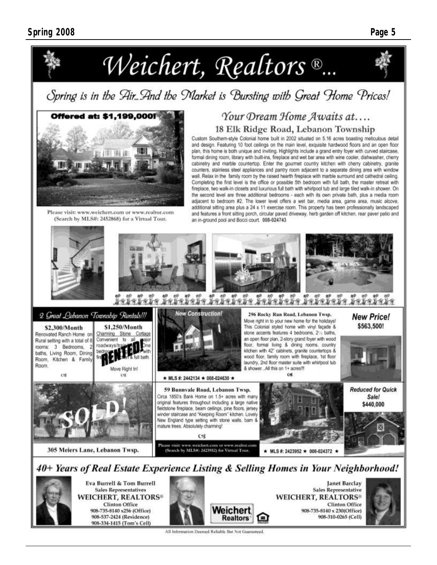

Spring is in the Air. And the Market is Bursting with Great Home Prices!



Please visit: www.weichert.com or www.realtor.com (Search by MLS#: 2452868) for a Virtual Tour.

### Your Dream Home Awaits at.... 18 Elk Ridge Road, Lebanon Township

Custom Southern-style Colonial home built in 2002 situated on 5.16 acres boasting meticulous detail and design. Featuring 10 foot ceilings on the main level, exquisite hardwood floors and an open floor plan, this home is both unique and inviting. Highlights include a grand entry foyer with curved staircase, formal dining room, library with built-ins, fireplace and wet bar area with wine cooler, dishwasher, cherry cabinetry and marble countertop. Enter the gourmet country kitchen with cherry cabinetry, granite counters, stainless steel appliances and pantry room adjacent to a separate dining area with window wall. Relax in the family room by the raised hearth fireplace with marble surround and cathedral ceiling. Completing the first level is the office or possible 5th bedroom with full bath, the master retreat with fireplace, two walk-in closets and luxurious full bath with whirlpool tub and large tiled walk-in shower. On the second level are three additional bedrooms - each with its own private bath, plus a media room adjacent to bedroom #2. The lower level offers a wet bar, media area, game area, music alcove, additional sitting area plus a 24 x 11 exercise room. This property has been professionally landscaped and features a front sitting porch, circular paved driveway, herb garden off kitchen, rear paver patio and an in-ground pool and Bocci court. 008-024743





Eva Burrell & Tom Burrell **Sales Representatives WEICHERT, REALTORS® Clinton Office** 908-735-8140 x256 (Office) 908-537-2424 (Residence) 908-334-1415 (Tom's Cell)



**Janet Barclay Sales Representative WEICHERT, REALTORS® Clinton Office** 908-735-8140 x 230(Office) 908-310-0265 (Cell)



All Information Deemed Reliable But Not Guaranteed.

**Realtors**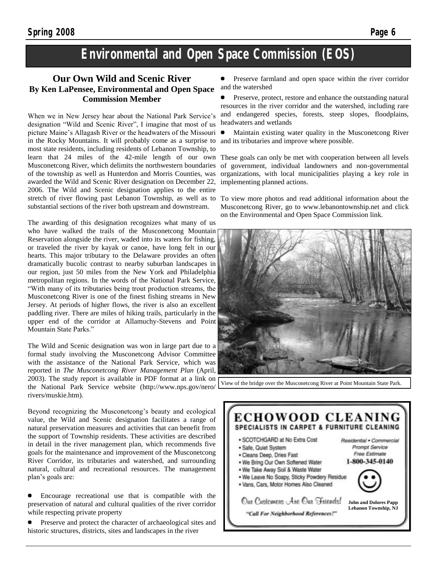### **Environmental and Open Space Commission (EOS)**

#### **Our Own Wild and Scenic River By Ken LaPensee, Environmental and Open Space Commission Member**

When we in New Jersey hear about the National Park Service's designation "Wild and Scenic River", I imagine that most of us picture Maine's Allagash River or the headwaters of the Missouri in the Rocky Mountains. It will probably come as a surprise to most state residents, including residents of Lebanon Township, to learn that 24 miles of the 42-mile length of our own Musconetcong River, which delimits the northwestern boundaries of the township as well as Hunterdon and Morris Counties, was awarded the Wild and Scenic River designation on December 22, 2006. The Wild and Scenic designation applies to the entire stretch of river flowing past Lebanon Township, as well as to substantial sections of the river both upstream and downstream.

The awarding of this designation recognizes what many of us who have walked the trails of the Musconetcong Mountain Reservation alongside the river, waded into its waters for fishing, or traveled the river by kayak or canoe, have long felt in our hearts. This major tributary to the Delaware provides an often dramatically bucolic contrast to nearby suburban landscapes in our region, just 50 miles from the New York and Philadelphia metropolitan regions. In the words of the National Park Service, "With many of its tributaries being trout production streams, the Musconetcong River is one of the finest fishing streams in New Jersey. At periods of higher flows, the river is also an excellent paddling river. There are miles of hiking trails, particularly in the upper end of the corridor at Allamuchy-Stevens and Point Mountain State Parks."

The Wild and Scenic designation was won in large part due to a formal study involving the Musconetcong Advisor Committee with the assistance of the National Park Service, which was reported in *The Musconetcong River Management Plan* (April, 2003). The study report is available in PDF format at a link on the National Park Service website (http://www.nps.gov/nero/ rivers/muskie.htm).

Beyond recognizing the Musconetcong's beauty and ecological value, the Wild and Scenic designation facilitates a range of natural preservation measures and activities that can benefit from the support of Township residents. These activities are described in detail in the river management plan, which recommends five goals for the maintenance and improvement of the Musconetcong River Corridor, its tributaries and watershed, and surrounding natural, cultural and recreational resources. The management plan's goals are:

Encourage recreational use that is compatible with the preservation of natural and cultural qualities of the river corridor while respecting private property

Preserve and protect the character of archaeological sites and historic structures, districts, sites and landscapes in the river

Preserve farmland and open space within the river corridor and the watershed

Preserve, protect, restore and enhance the outstanding natural resources in the river corridor and the watershed, including rare and endangered species, forests, steep slopes, floodplains, headwaters and wetlands

Maintain existing water quality in the Musconetcong River and its tributaries and improve where possible.

These goals can only be met with cooperation between all levels of government, individual landowners and non-governmental organizations, with local municipalities playing a key role in implementing planned actions.

To view more photos and read additional information about the Musconetcong River, go to www.lebanontownship.net and click on the Environmental and Open Space Commission link.



View of the bridge over the Musconetcong River at Point Mountain State Park.

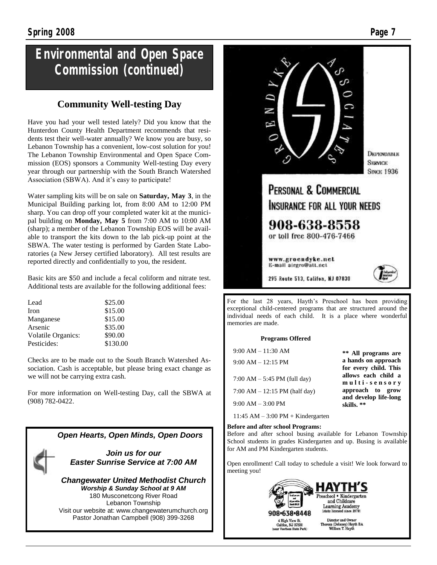### **Environmental and Open Space Commission (continued)**

### **Community Well-testing Day**

Have you had your well tested lately? Did you know that the Hunterdon County Health Department recommends that residents test their well-water annually? We know you are busy, so Lebanon Township has a convenient, low-cost solution for you! The Lebanon Township Environmental and Open Space Commission (EOS) sponsors a Community Well-testing Day every year through our partnership with the South Branch Watershed Association (SBWA). And it's easy to participate!

Water sampling kits will be on sale on **Saturday, May 3**, in the Municipal Building parking lot, from 8:00 AM to 12:00 PM sharp. You can drop off your completed water kit at the municipal building on **Monday, May 5** from 7:00 AM to 10:00 AM (sharp); a member of the Lebanon Township EOS will be available to transport the kits down to the lab pick-up point at the SBWA. The water testing is performed by Garden State Laboratories (a New Jersey certified laboratory). All test results are reported directly and confidentially to you, the resident.

Basic kits are \$50 and include a fecal coliform and nitrate test. Additional tests are available for the following additional fees:

| Lead                      | \$25.00  |
|---------------------------|----------|
| Iron                      | \$15.00  |
| Manganese                 | \$15.00  |
| Arsenic                   | \$35.00  |
| <b>Volatile Organics:</b> | \$90.00  |
| Pesticides:               | \$130.00 |

Checks are to be made out to the South Branch Watershed Association. Cash is acceptable, but please bring exact change as we will not be carrying extra cash.

For more information on Well-testing Day, call the SBWA at (908) 782-0422.





For the last 28 years, Hayth's Preschool has been providing exceptional child-centered programs that are structured around the individual needs of each child. It is a place where wonderful memories are made.

#### **Programs Offered**

| $9:00$ AM $-11:30$ AM                  | ** All programs are                                           |
|----------------------------------------|---------------------------------------------------------------|
| $9:00$ AM $-12:15$ PM                  | a hands on approach                                           |
| 7:00 AM $-$ 5:45 PM (full day)         | for every child. This<br>allows each child a<br>multi-sensory |
| 7:00 AM $- 12:15$ PM (half day)        | approach to grow                                              |
| $9:00$ AM $-3:00$ PM                   | and develop life-long<br>skills. **                           |
| $11:45$ AM $-3:00$ PM $+$ Kindergarten |                                                               |

#### **Before and after school Programs:**

Before and after school busing available for Lebanon Township School students in grades Kindergarten and up. Busing is available for AM and PM Kindergarten students.

Open enrollment! Call today to schedule a visit! We look forward to meeting you!

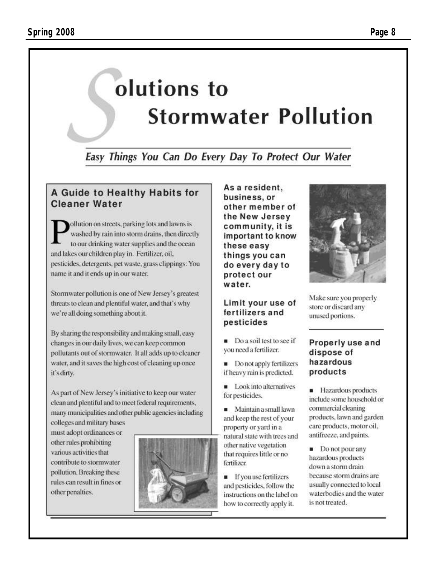# olutions to **Stormwater Pollution**

### Easy Things You Can Do Every Day To Protect Our Water

### A Guide to Healthy Habits for **Cleaner Water**

ollution on streets, parking lots and lawns is washed by rain into storm drains, then directly to our drinking water supplies and the ocean and lakes our children play in. Fertilizer, oil. pesticides, detergents, pet waste, grass clippings: You name it and it ends up in our water.

Stormwater pollution is one of New Jersey's greatest threats to clean and plentiful water, and that's why we're all doing something about it.

By sharing the responsibility and making small, easy changes in our daily lives, we can keep common pollutants out of stormwater. It all adds up to cleaner water, and it saves the high cost of cleaning up once it's dirty.

As part of New Jersey's initiative to keep our water clean and plentiful and to meet federal requirements, many municipalities and other public agencies including colleges and military bases

must adopt ordinances or other rules prohibiting various activities that contribute to stormwater pollution. Breaking these rules can result in fines or other penalties.



As a resident, business, or other member of the New Jersey community, it is important to know these easy things you can do every day to protect our water.

### Limit your use of fertilizers and pesticides

Do a soil test to see if you need a fertilizer.

Do not apply fertilizers if heavy rain is predicted.

Look into alternatives for pesticides.

Maintain a small lawn and keep the rest of your property or yard in a natural state with trees and other native vegetation that requires little or no fertilizer.

**If you use fertilizers** and pesticides, follow the instructions on the label on how to correctly apply it.



Make sure you properly store or discard any unused portions.

### Properly use and dispose of hazardous products

**Hazardous** products include some household or commercial cleaning products, lawn and garden care products, motor oil, antifreeze, and paints.

 $\blacksquare$  Do not pour any hazardous products down a storm drain because storm drains are usually connected to local waterbodies and the water is not treated.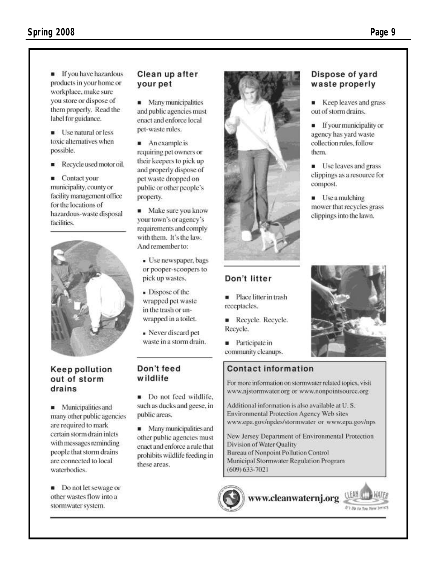**If** you have hazardous products in your home or workplace, make sure you store or dispose of them properly. Read the label for guidance.

**Use natural or less** toxic alternatives when possible.

Recycle used motor oil.  $\blacksquare$ 

■ Contact your municipality, county or facility management office for the locations of hazardous-waste disposal facilities.



### **Keep pollution** out of storm drains

**Municipalities and** many other public agencies are required to mark certain storm drain inlets with messages reminding people that storm drains are connected to local waterbodies.

Do not let sewage or other wastes flow into a stormwater system.

#### Clean up after your pet

**A** Many municipalities and public agencies must enact and enforce local pet-waste rules.

An example is requiring pet owners or their keepers to pick up and properly dispose of pet waste dropped on public or other people's property.

 $\blacksquare$  Make sure you know your town's or agency's requirements and comply with them. It's the law. And remember to:

- Use newspaper, bags or pooper-scoopers to pick up wastes.
- Dispose of the wrapped pet waste in the trash or unwrapped in a toilet.

» Never diseard pet waste in a storm drain.

### Don't feed wildlife

Do not feed wildlife. such as ducks and geese, in public areas.

Many municipalities and other public agencies must enact and enforce a rule that prohibits wildlife feeding in these areas.





Don't litter

receptacles.

Recycle.

Place litter in trash

Recycle. Recycle.

**Contact information** 

**Participate in** community cleanups.

### Dispose of yard waste properly

Keep leaves and grass out of storm drains.

**If your municipality or** agency has yard waste collection rules, follow them.

**Use leaves and grass** clippings as a resource for compost.

Use a mulching mower that recycles grass clippings into the lawn.



For more information on stormwater related topics, visit www.njstormwater.org or www.nonpointsource.org

Additional information is also available at U.S. Environmental Protection Agency Web sites www.epa.gov/npdes/stormwater or www.epa.gov/nps

New Jersey Department of Environmental Protection Division of Water Quality Bureau of Nonpoint Pollution Control Municipal Stormwater Regulation Program  $(609)$  633-7021

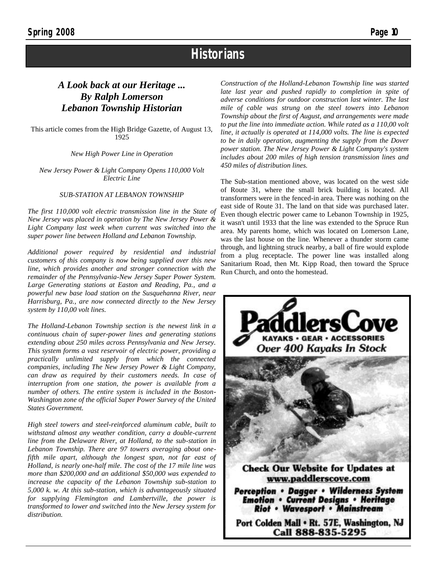### **Historians**

### *A Look back at our Heritage ... By Ralph Lomerson Lebanon Township Historian*

This article comes from the High Bridge Gazette, of August 13, 1925

*New High Power Line in Operation*

*New Jersey Power & Light Company Opens 110,000 Volt Electric Line*

#### *SUB-STATION AT LEBANON TOWNSHIP*

*The first 110,000 volt electric transmission line in the State of New Jersey was placed in operation by The New Jersey Power & Light Company last week when current was switched into the super power line between Holland and Lebanon Township.*

*Additional power required by residential and industrial customers of this company is now being supplied over this new line, which provides another and stronger connection with the remainder of the Pennsylvania-New Jersey Super Power System. Large Generating stations at Easton and Reading, Pa., and a powerful new base load station on the Susquehanna River, near Harrisburg, Pa., are now connected directly to the New Jersey system by 110,00 volt lines.*

*The Holland-Lebanon Township section is the newest link in a continuous chain of super-power lines and generating stations extending about 250 miles across Pennsylvania and New Jersey. This system forms a vast reservoir of electric power, providing a practically unlimited supply from which the connected companies, including The New Jersey Power & Light Company, can draw as required by their customers needs. In case of interruption from one station, the power is available from a number of others. The entire system is included in the Boston-Washington zone of the official Super Power Survey of the United States Government.*

*High steel towers and steel-reinforced aluminum cable, built to withstand almost any weather condition, carry a double-current line from the Delaware River, at Holland, to the sub-station in Lebanon Township. There are 97 towers averaging about onefifth mile apart, although the longest span, not far east of Holland, is nearly one-half mile. The cost of the 17 mile line was more than \$200,000 and an additional \$50,000 was expended to increase the capacity of the Lebanon Township sub-station to 5,000 k. w. At this sub-station, which is advantageously situated for supplying Flemington and Lambertville, the power is transformed to lower and switched into the New Jersey system for distribution.*

*Construction of the Holland-Lebanon Township line was started late last year and pushed rapidly to completion in spite of adverse conditions for outdoor construction last winter. The last mile of cable was strung on the steel towers into Lebanon Township about the first of August, and arrangements were made to put the line into immediate action. While rated as a 110,00 volt line, it actually is operated at 114,000 volts. The line is expected to be in daily operation, augmenting the supply from the Dover power station. The New Jersey Power & Light Company's system includes about 200 miles of high tension transmission lines and 450 miles of distribution lines.*

The Sub-station mentioned above, was located on the west side of Route 31, where the small brick building is located. All transformers were in the fenced-in area. There was nothing on the east side of Route 31. The land on that side was purchased later. Even though electric power came to Lebanon Township in 1925, it wasn't until 1933 that the line was extended to the Spruce Run area. My parents home, which was located on Lomerson Lane, was the last house on the line. Whenever a thunder storm came through, and lightning struck nearby, a ball of fire would explode from a plug receptacle. The power line was installed along Sanitarium Road, then Mt. Kipp Road, then toward the Spruce Run Church, and onto the homestead.



Port Colden Mall . Rt. 57E, Washington, NJ Call 888-835-5295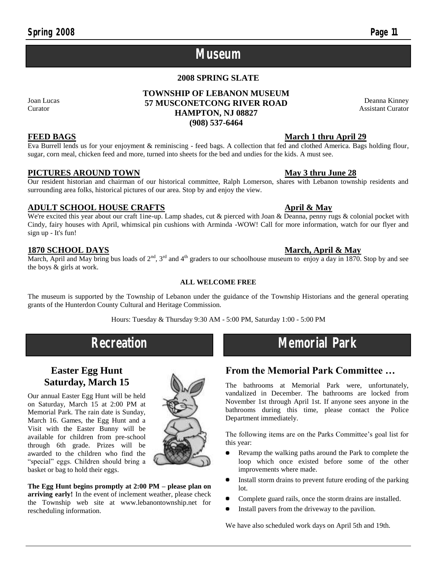### **Museum**

#### **2008 SPRING SLATE**

#### **TOWNSHIP OF LEBANON MUSEUM 57 MUSCONETCONG RIVER ROAD HAMPTON, NJ 08827 (908) 537-6464**

Joan Lucas Curator

Eva Burrell lends us for your enjoyment & reminiscing - feed bags. A collection that fed and clothed America. Bags holding flour, sugar, corn meal, chicken feed and more, turned into sheets for the bed and undies for the kids. A must see.

#### **PICTURES AROUND TOWN May 3 thru June 28**

Our resident historian and chairman of our historical committee, Ralph Lomerson, shares with Lebanon township residents and surrounding area folks, historical pictures of our area. Stop by and enjoy the view.

#### **ADULT SCHOOL HOUSE CRAFTS April & May**

We're excited this year about our craft 1ine-up. Lamp shades, cut & pierced with Joan & Deanna, penny rugs & colonial pocket with Cindy, fairy houses with April, whimsical pin cushions with Arminda -WOW! Call for more information, watch for our flyer and sign up - It's fun!

#### **1870 SCHOOL DAYS March, April & May**

March, April and May bring bus loads of  $2^{nd}$ ,  $3^{rd}$  and  $4^{th}$  graders to our schoolhouse museum to enjoy a day in 1870. Stop by and see the boys & girls at work.

#### **ALL WELCOME FREE**

The museum is supported by the Township of Lebanon under the guidance of the Township Historians and the general operating grants of the Hunterdon County Cultural and Heritage Commission.

Hours: Tuesday & Thursday 9:30 AM - 5:00 PM, Saturday 1:00 - 5:00 PM

## **Recreation Memorial Park**

### **Easter Egg Hunt Saturday, March 15**

Our annual Easter Egg Hunt will be held on Saturday, March 15 at 2:00 PM at Memorial Park. The rain date is Sunday, March 16. Games, the Egg Hunt and a Visit with the Easter Bunny will be available for children from pre-school through 6th grade. Prizes will be awarded to the children who find the "special" eggs. Children should bring a basket or bag to hold their eggs.

**The Egg Hunt begins promptly at 2:00 PM – please plan on arriving early!** In the event of inclement weather, please check the Township web site at www.lebanontownship.net for rescheduling information.

### **FEED BAGS March 1 thru April 29**

## **From the Memorial Park Committee …**

The bathrooms at Memorial Park were, unfortunately, vandalized in December. The bathrooms are locked from November 1st through April 1st. If anyone sees anyone in the bathrooms during this time, please contact the Police Department immediately.

The following items are on the Parks Committee's goal list for this year:

- Revamp the walking paths around the Park to complete the loop which once existed before some of the other improvements where made.
- $\bullet$ Install storm drains to prevent future eroding of the parking lot.
- Complete guard rails, once the storm drains are installed.
- Install pavers from the driveway to the pavilion.

We have also scheduled work days on April 5th and 19th.



Deanna Kinney Assistant Curator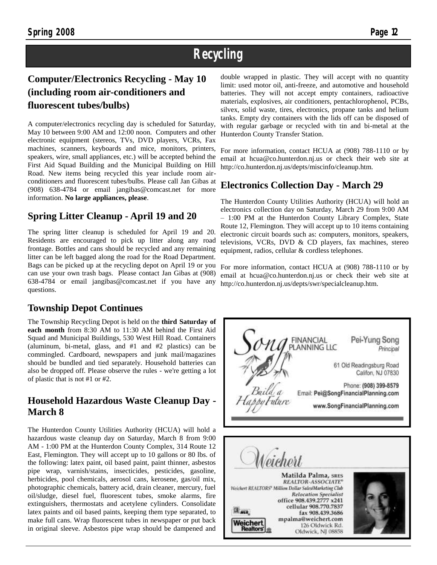### **Recycling**

### **Computer/Electronics Recycling - May 10 (including room air-conditioners and fluorescent tubes/bulbs)**

A computer/electronics recycling day is scheduled for Saturday, May 10 between 9:00 AM and 12:00 noon. Computers and other electronic equipment (stereos, TVs, DVD players, VCRs, Fax machines, scanners, keyboards and mice, monitors, printers, speakers, wire, small appliances, etc.) will be accepted behind the First Aid Squad Building and the Municipal Building on Hill Road. New items being recycled this year include room airconditioners and fluorescent tubes/bulbs. Please call Jan Gibas at (908) 638-4784 or email jangibas@comcast.net for more information. **No large appliances, please**.

### **Spring Litter Cleanup - April 19 and 20**

The spring litter cleanup is scheduled for April 19 and 20. Residents are encouraged to pick up litter along any road frontage. Bottles and cans should be recycled and any remaining litter can be left bagged along the road for the Road Department. Bags can be picked up at the recycling depot on April 19 or you For more information, contact HCUA at (908) 788-1110 or by can use your own trash bags. Please contact Jan Gibas at (908) 638-4784 or email jangibas@comcast.net if you have any questions.

### **Township Depot Continues**

The Township Recycling Depot is held on the **third Saturday of each month** from 8:30 AM to 11:30 AM behind the First Aid Squad and Municipal Buildings, 530 West Hill Road. Containers (aluminum, bi-metal, glass, and #1 and #2 plastics) can be commingled. Cardboard, newspapers and junk mail/magazines should be bundled and tied separately. Household batteries can also be dropped off. Please observe the rules - we're getting a lot of plastic that is not #1 or #2.

### **Household Hazardous Waste Cleanup Day - March 8**

The Hunterdon County Utilities Authority (HCUA) will hold a hazardous waste cleanup day on Saturday, March 8 from 9:00 AM - 1:00 PM at the Hunterdon County Complex, 314 Route 12 East, Flemington. They will accept up to 10 gallons or 80 lbs. of the following: latex paint, oil based paint, paint thinner, asbestos pipe wrap, varnish/stains, insecticides, pesticides, gasoline, herbicides, pool chemicals, aerosol cans, kerosene, gas/oil mix, photographic chemicals, battery acid, drain cleaner, mercury, fuel oil/sludge, diesel fuel, fluorescent tubes, smoke alarms, fire extinguishers, thermostats and acetylene cylinders. Consolidate latex paints and oil based paints, keeping them type separated, to make full cans. Wrap fluorescent tubes in newspaper or put back in original sleeve. Asbestos pipe wrap should be dampened and

double wrapped in plastic. They will accept with no quantity limit: used motor oil, anti-freeze, and automotive and household batteries. They will not accept empty containers, radioactive materials, explosives, air conditioners, pentachlorophenol, PCBs, silvex, solid waste, tires, electronics, propane tanks and helium tanks. Empty dry containers with the lids off can be disposed of with regular garbage or recycled with tin and bi-metal at the Hunterdon County Transfer Station.

For more information, contact HCUA at (908) 788-1110 or by email at hcua@co.hunterdon.nj.us or check their web site at http://co.hunterdon.nj.us/depts/miscinfo/cleanup.htm.

### **Electronics Collection Day - March 29**

The Hunterdon County Utilities Authority (HCUA) will hold an electronics collection day on Saturday, March 29 from 9:00 AM – 1:00 PM at the Hunterdon County Library Complex, State Route 12, Flemington. They will accept up to 10 items containing electronic circuit boards such as: computers, monitors, speakers, televisions, VCRs, DVD & CD players, fax machines, stereo equipment, radios, cellular & cordless telephones.

email at hcua@co.hunterdon.nj.us or check their web site at http://co.hunterdon.nj.us/depts/swr/specialcleanup.htm.

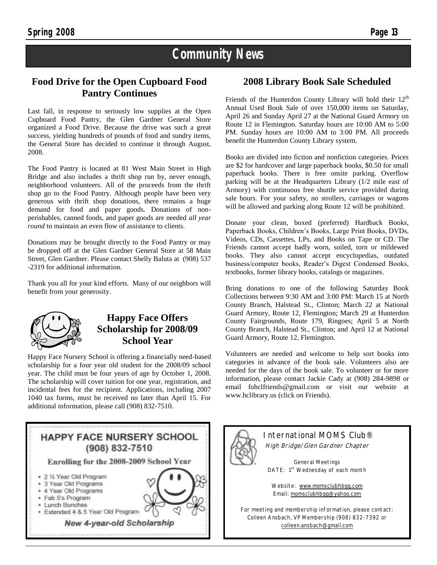### **Community News**

### **Food Drive for the Open Cupboard Food Pantry Continues**

Last fall, in response to seriously low supplies at the Open Cupboard Food Pantry, the Glen Gardner General Store organized a Food Drive. Because the drive was such a great success, yielding hundreds of pounds of food and sundry items, the General Store has decided to continue it through August, 2008.

The Food Pantry is located at 81 West Main Street in High Bridge and also includes a thrift shop run by, never enough, neighborhood volunteers. All of the proceeds from the thrift shop go to the Food Pantry. Although people have been very generous with thrift shop donations, there remains a huge demand for food and paper goods. Donations of nonperishables, canned foods, and paper goods are needed *all year round* to maintain an even flow of assistance to clients.

Donations may be brought directly to the Food Pantry or may be dropped off at the Glen Gardner General Store at 58 Main Street, Glen Gardner. Please contact Shelly Baluta at (908) 537 -2319 for additional information.

Thank you all for your kind efforts. Many of our neighbors will benefit from your generosity.



### **Happy Face Offers Scholarship for 2008/09 School Year**

Happy Face Nursery School is offering a financially need-based scholarship for a four year old student for the 2008/09 school year. The child must be four years of age by October 1, 2008. The scholarship will cover tuition for one year, registration, and incidental fees for the recipient. Applications, including 2007 1040 tax forms, must be received no later than April 15. For additional information, please call (908) 832-7510.

### **HAPPY FACE NURSERY SCHOOL** (908) 832-7510 Enrolling for the 2008-2009 School Year · 2 % Year Old Program 3 Year Old Programs \* 4 Year Old Programs · Fab 5's Program · Lunch Bunches · Extended 4 & 5 Year Old Program New 4-year-old Scholarship

### **2008 Library Book Sale Scheduled**

Friends of the Hunterdon County Library will hold their  $12<sup>th</sup>$ Annual Used Book Sale of over 150,000 items on Saturday, April 26 and Sunday April 27 at the National Guard Armory on Route 12 in Flemington. Saturday hours are 10:00 AM to 5:00 PM. Sunday hours are 10:00 AM to 3:00 PM. All proceeds benefit the Hunterdon County Library system.

Books are divided into fiction and nonfiction categories. Prices are \$2 for hardcover and large paperback books, \$0.50 for small paperback books. There is free onsite parking. Overflow parking will be at the Headquarters Library (1/2 mile east of Armory) with continuous free shuttle service provided during sale hours. For your safety, no strollers, carriages or wagons will be allowed and parking along Route 12 will be prohibited.

Donate your clean, boxed (preferred) Hardback Books, Paperback Books, Children's Books, Large Print Books, DVDs, Videos, CDs, Cassettes, LPs, and Books on Tape or CD. The Friends cannot accept badly worn, soiled, torn or mildewed books. They also cannot accept encyclopedias, outdated business/computer books, Reader's Digest Condensed Books, textbooks, former library books, catalogs or magazines.

Bring donations to one of the following Saturday Book Collections between 9:30 AM and 3:00 PM: March 15 at North County Branch, Halstead St., Clinton; March 22 at National Guard Armory, Route 12, Flemington; March 29 at Hunterdon County Fairgrounds, Route 179, Ringoes; April 5 at North County Branch, Halstead St., Clinton; and April 12 at National Guard Armory, Route 12, Flemington.

Volunteers are needed and welcome to help sort books into categories in advance of the book sale. Volunteers also are needed for the days of the book sale. To volunteer or for more information, please contact Jackie Cady at (908) 284-9898 or email fohclfriends@gmail.com or visit our website at www.hclibrary.us (click on Friends).

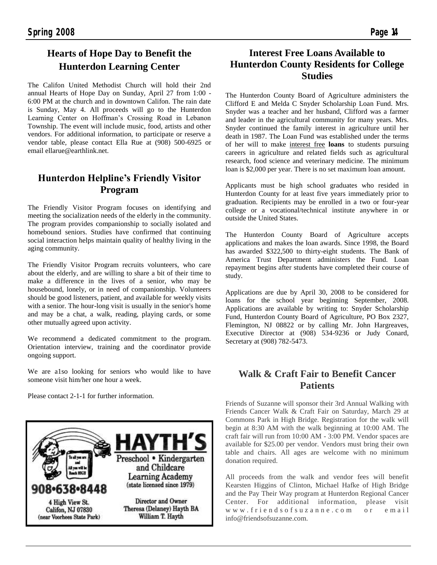### **Hearts of Hope Day to Benefit the Hunterdon Learning Center**

The Califon United Methodist Church will hold their 2nd annual Hearts of Hope Day on Sunday, April 27 from 1:00 - 6:00 PM at the church and in downtown Califon. The rain date is Sunday, May 4. All proceeds will go to the Hunterdon Learning Center on Hoffman's Crossing Road in Lebanon Township. The event will include music, food, artists and other vendors. For additional information, to participate or reserve a vendor table, please contact Ella Rue at (908) 500-6925 or email ellarue@earthlink.net.

### **Hunterdon Helpline's Friendly Visitor Program**

The Friendly Visitor Program focuses on identifying and meeting the socialization needs of the elderly in the community. The program provides companionship to socially isolated and homebound seniors. Studies have confirmed that continuing social interaction helps maintain quality of healthy living in the aging community.

The Friendly Visitor Program recruits volunteers, who care about the elderly, and are willing to share a bit of their time to make a difference in the lives of a senior, who may be housebound, lonely, or in need of companionship. Volunteers should be good listeners, patient, and available for weekly visits with a senior. The hour-long visit is usually in the senior's home and may be a chat, a walk, reading, playing cards, or some other mutually agreed upon activity.

We recommend a dedicated commitment to the program. Orientation interview, training and the coordinator provide ongoing support.

We are a1so looking for seniors who would like to have someone visit him/her one hour a week.

Please contact 2-1-1 for further information.



### **Interest Free Loans Available to Hunterdon County Residents for College Studies**

The Hunterdon County Board of Agriculture administers the Clifford E and Melda C Snyder Scholarship Loan Fund. Mrs. Snyder was a teacher and her husband, Clifford was a farmer and leader in the agricultural community for many years. Mrs. Snyder continued the family interest in agriculture until her death in 1987. The Loan Fund was established under the terms of her will to make interest free **loans** to students pursuing careers in agriculture and related fields such as agricultural research, food science and veterinary medicine. The minimum loan is \$2,000 per year. There is no set maximum loan amount.

Applicants must be high school graduates who resided in Hunterdon County for at least five years immediately prior to graduation. Recipients may be enrolled in a two or four-year college or a vocational/technical institute anywhere in or outside the United States.

The Hunterdon County Board of Agriculture accepts applications and makes the loan awards. Since 1998, the Board has awarded \$322,500 to thirty-eight students. The Bank of America Trust Department administers the Fund. Loan repayment begins after students have completed their course of study.

Applications are due by April 30, 2008 to be considered for loans for the school year beginning September, 2008. Applications are available by writing to: Snyder Scholarship Fund, Hunterdon County Board of Agriculture, PO Box 2327, Flemington, NJ 08822 or by calling Mr. John Hargreaves, Executive Director at (908) 534-9236 or Judy Conard, Secretary at (908) 782-5473.

### **Walk & Craft Fair to Benefit Cancer Patients**

Friends of Suzanne will sponsor their 3rd Annual Walking with Friends Cancer Walk & Craft Fair on Saturday, March 29 at Commons Park in High Bridge. Registration for the walk will begin at 8:30 AM with the walk beginning at 10:00 AM. The craft fair will run from 10:00 AM - 3:00 PM. Vendor spaces are available for \$25.00 per vendor. Vendors must bring their own table and chairs. All ages are welcome with no minimum donation required.

All proceeds from the walk and vendor fees will benefit Kearsten Higgins of Clinton, Michael Hafke of High Bridge and the Pay Their Way program at Hunterdon Regional Cancer Center. For additional information, please visit w w w . f r i e n d s o f s u z a n n e . c o m o r e m a i l info@friendsofsuzanne.com.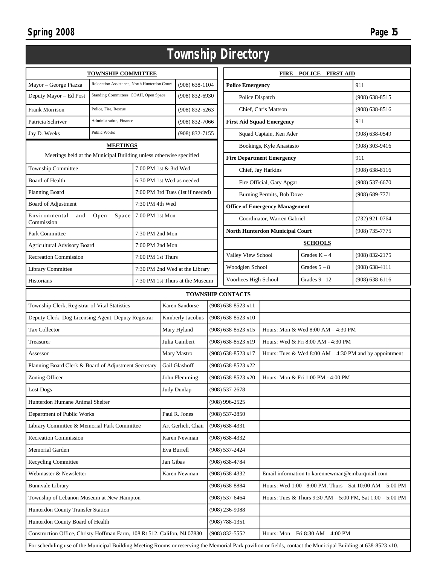| Township Directory                                                                                                                                            |                                                                          |                           |                                                                               |                                  |                                                                                  |                                                           |                                        |                                    |                    |
|---------------------------------------------------------------------------------------------------------------------------------------------------------------|--------------------------------------------------------------------------|---------------------------|-------------------------------------------------------------------------------|----------------------------------|----------------------------------------------------------------------------------|-----------------------------------------------------------|----------------------------------------|------------------------------------|--------------------|
| <b>TOWNSHIP COMMITTEE</b>                                                                                                                                     |                                                                          |                           |                                                                               |                                  |                                                                                  | <b>FIRE – POLICE – FIRST AID</b>                          |                                        |                                    |                    |
| Mayor - George Piazza                                                                                                                                         | Relocation Assistance, North Hunterdon Court                             |                           | $(908) 638 - 1104$                                                            |                                  | <b>Police Emergency</b>                                                          |                                                           |                                        | 911                                |                    |
| Deputy Mayor - Ed Post                                                                                                                                        | Standing Committees, COAH, Open Space                                    |                           | $(908) 832 - 6930$                                                            |                                  | Police Dispatch                                                                  |                                                           |                                        | $(908) 638 - 8515$                 |                    |
| Frank Morrison                                                                                                                                                | Police, Fire, Rescue                                                     |                           |                                                                               | (908) 832-5263                   |                                                                                  |                                                           | Chief, Chris Mattson                   |                                    | $(908)$ 638-8516   |
| Patricia Schriver                                                                                                                                             | Administration, Finance                                                  |                           |                                                                               | $(908) 832 - 7066$               |                                                                                  | <b>First Aid Squad Emergency</b>                          |                                        |                                    | 911                |
| Jay D. Weeks                                                                                                                                                  | Public Works                                                             |                           |                                                                               | (908) 832-7155                   |                                                                                  |                                                           | Squad Captain, Ken Ader                |                                    | $(908) 638 - 0549$ |
|                                                                                                                                                               | <b>MEETINGS</b>                                                          |                           |                                                                               |                                  |                                                                                  | Bookings, Kyle Anastasio                                  |                                        | $(908)$ 303-9416                   |                    |
| Meetings held at the Municipal Building unless otherwise specified                                                                                            |                                                                          |                           |                                                                               |                                  |                                                                                  | <b>Fire Department Emergency</b>                          |                                        |                                    | 911                |
| Township Committee                                                                                                                                            |                                                                          |                           |                                                                               | 7:00 PM 1st & 3rd Wed            |                                                                                  | Chief, Jay Harkins                                        |                                        |                                    | $(908) 638 - 8116$ |
| <b>Board of Health</b>                                                                                                                                        |                                                                          | 6:30 PM 1st Wed as needed |                                                                               |                                  |                                                                                  | Fire Official, Gary Apgar                                 |                                        |                                    | $(908)$ 537-6670   |
| Planning Board                                                                                                                                                |                                                                          |                           |                                                                               | 7:00 PM 3rd Tues (1st if needed) |                                                                                  | Burning Permits, Bob Dove                                 |                                        |                                    | $(908) 689 - 7771$ |
| Board of Adjustment                                                                                                                                           |                                                                          | 7:30 PM 4th Wed           |                                                                               |                                  |                                                                                  |                                                           | <b>Office of Emergency Management</b>  |                                    |                    |
| Environmental<br>and<br>Commission                                                                                                                            | Open<br>Space                                                            | 7:00 PM 1st Mon           |                                                                               |                                  |                                                                                  |                                                           | Coordinator, Warren Gabriel            |                                    | $(732)$ 921-0764   |
| Park Committee                                                                                                                                                |                                                                          | 7:30 PM 2nd Mon           |                                                                               |                                  |                                                                                  |                                                           | <b>North Hunterdon Municipal Court</b> |                                    | $(908) 735 - 7775$ |
| <b>Agricultural Advisory Board</b>                                                                                                                            |                                                                          | 7:00 PM 2nd Mon           |                                                                               |                                  |                                                                                  |                                                           |                                        | <b>SCHOOLS</b>                     |                    |
| <b>Recreation Commission</b>                                                                                                                                  |                                                                          | 7:00 PM 1st Thurs         |                                                                               |                                  |                                                                                  | Valley View School                                        |                                        | Grades $K - 4$                     | (908) 832-2175     |
| Library Committee                                                                                                                                             |                                                                          |                           |                                                                               | 7:30 PM 2nd Wed at the Library   |                                                                                  | Woodglen School                                           |                                        | Grades $5 - 8$                     | $(908) 638 - 4111$ |
| Historians                                                                                                                                                    | 7:30 PM 1st Thurs at the Museum                                          |                           |                                                                               |                                  | Voorhees High School<br>Grades $9 - 12$                                          |                                                           |                                        | $(908) 638 - 6116$                 |                    |
|                                                                                                                                                               | <b>TOWNSHIP CONTACTS</b>                                                 |                           |                                                                               |                                  |                                                                                  |                                                           |                                        |                                    |                    |
| Karen Sandorse<br>Township Clerk, Registrar of Vital Statistics                                                                                               |                                                                          |                           |                                                                               | (908) 638-8523 x11               |                                                                                  |                                                           |                                        |                                    |                    |
| Deputy Clerk, Dog Licensing Agent, Deputy Registrar                                                                                                           |                                                                          |                           | Kimberly Jacobus                                                              | $(908)$ 638-8523 x10             |                                                                                  |                                                           |                                        |                                    |                    |
| <b>Tax Collector</b>                                                                                                                                          |                                                                          |                           | Mary Hyland                                                                   | (908) 638-8523 x15               |                                                                                  | Hours: Mon & Wed 8:00 AM - 4:30 PM                        |                                        |                                    |                    |
| Treasurer                                                                                                                                                     |                                                                          |                           |                                                                               | Julia Gambert                    |                                                                                  | $(908)$ 638-8523 x19                                      |                                        | Hours: Wed & Fri 8:00 AM - 4:30 PM |                    |
| Assessor                                                                                                                                                      |                                                                          |                           |                                                                               | Mary Mastro                      | $(908)$ 638-8523 x17<br>Hours: Tues & Wed $8:00 AM - 4:30 PM$ and by appointment |                                                           |                                        |                                    |                    |
| Planning Board Clerk & Board of Adjustment Secretary                                                                                                          |                                                                          |                           | Gail Glashoff                                                                 | (908) 638-8523 x22               |                                                                                  |                                                           |                                        |                                    |                    |
| Zoning Officer                                                                                                                                                |                                                                          |                           |                                                                               | John Flemming                    | (908) 638-8523 x20                                                               |                                                           | Hours: Mon & Fri 1:00 PM - 4:00 PM     |                                    |                    |
| <b>Lost Dogs</b>                                                                                                                                              |                                                                          |                           |                                                                               | Judy Dunlap                      |                                                                                  | $(908) 537 - 2678$                                        |                                        |                                    |                    |
| Hunterdon Humane Animal Shelter                                                                                                                               |                                                                          |                           |                                                                               |                                  |                                                                                  | $(908)$ 996-2525                                          |                                        |                                    |                    |
| Department of Public Works                                                                                                                                    |                                                                          |                           |                                                                               | Paul R. Jones                    |                                                                                  | $(908) 537 - 2850$                                        |                                        |                                    |                    |
| Library Committee & Memorial Park Committee<br>Art Gerlich, Chair                                                                                             |                                                                          |                           |                                                                               | $(908)$ 638-4331                 |                                                                                  |                                                           |                                        |                                    |                    |
| <b>Recreation Commission</b><br>Karen Newman                                                                                                                  |                                                                          |                           |                                                                               | $(908) 638 - 4332$               |                                                                                  |                                                           |                                        |                                    |                    |
| Memorial Garden<br>Eva Burrell                                                                                                                                |                                                                          |                           | (908) 537-2424                                                                |                                  |                                                                                  |                                                           |                                        |                                    |                    |
| Recycling Committee<br>Jan Gibas                                                                                                                              |                                                                          | $(908) 638 - 4784$        |                                                                               |                                  |                                                                                  |                                                           |                                        |                                    |                    |
| Karen Newman<br>Webmaster & Newsletter                                                                                                                        |                                                                          | $(908) 638 - 4332$        |                                                                               |                                  | Email information to karennewman@embarqmail.com                                  |                                                           |                                        |                                    |                    |
| <b>Bunnvale Library</b>                                                                                                                                       |                                                                          |                           | $(908)$ 638-8884<br>Hours: Wed 1:00 - 8:00 PM, Thurs - Sat 10:00 AM - 5:00 PM |                                  |                                                                                  |                                                           |                                        |                                    |                    |
| Township of Lebanon Museum at New Hampton                                                                                                                     |                                                                          |                           | $(908) 537 - 6464$                                                            |                                  |                                                                                  | Hours: Tues & Thurs 9:30 AM - 5:00 PM, Sat 1:00 - 5:00 PM |                                        |                                    |                    |
| Hunterdon County Transfer Station                                                                                                                             |                                                                          |                           | $(908)$ 236-9088                                                              |                                  |                                                                                  |                                                           |                                        |                                    |                    |
| Hunterdon County Board of Health                                                                                                                              |                                                                          |                           | $(908) 788 - 1351$                                                            |                                  |                                                                                  |                                                           |                                        |                                    |                    |
|                                                                                                                                                               | Construction Office, Christy Hoffman Farm, 108 Rt 512, Califon, NJ 07830 |                           |                                                                               |                                  | (908) 832-5552                                                                   |                                                           | Hours: Mon - Fri 8:30 AM - 4:00 PM     |                                    |                    |
| For scheduling use of the Municipal Building Meeting Rooms or reserving the Memorial Park pavilion or fields, contact the Municipal Building at 638-8523 x10. |                                                                          |                           |                                                                               |                                  |                                                                                  |                                                           |                                        |                                    |                    |